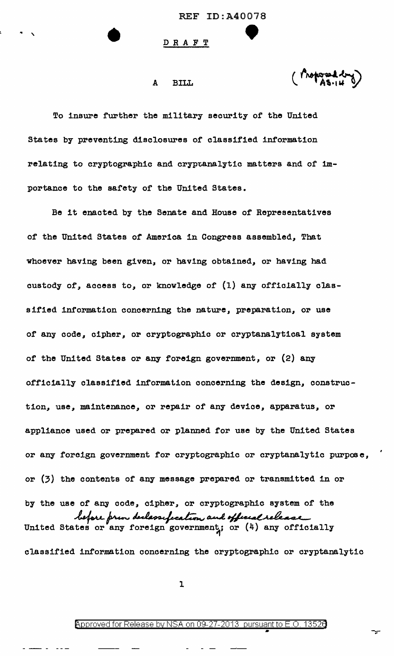### A BILL

To insure further the military security of the United States by preventing disclosures of classified information relating to cryptographic and cryptanalytic matters and of importance to the safety of the United States.

Be it enacted by the Senate and House of Representatives of the United States of America in Congress assembled, That whoever having been given, or having obtained, or having had custody of, access to, or knowledge of (1) any officlally classified information concerning the nature, preparation, or use of any code, cipher, or cryptographic or cryptanalytical system of the United States or any foreign government, or (2) any officially classified information concerning the design, construetion, use, maintenance, or repair of any device, apparatus, or appliance used or prepared or planned for use by the United States or any foreign government for cryptographic or cryptanalytic purpose, or (3) the contents of any message prepared or transmitted in or by the use of any code, cipher, or cryptographic system of the by the use of any code, cipher, or cryptographic system of the<br> *hefore prior declessified call officially*<br>
United States or any foreign government; or (4) any officially classified information concerning the cryptographic or cryptanalytic

l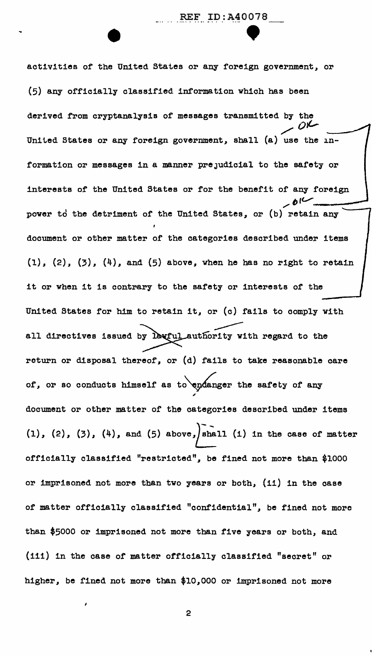REF ID:A40078<br>
• P activities of the United States or any foreign government, or (5) any officially classified information which has been derived from cryptanalysis of messages transmitted by the  $0^{\circ}$ United States or any foreign government, shall (a) use the information or messages in a manner prejudicial to the safety or interests of the United States or for the benefit of any foreign power to the detriment of the United States, or (b) retain any document or other matter of the categories described under items  $(1)$ ,  $(2)$ ,  $(3)$ ,  $(4)$ , and  $(5)$  above, when he has no right to retain it or when it is contrary to the safety or interests of the United States for him to retain it, or (c) fails to comply with all directives issued by lawful authority with regard to the return or disposal thereof, or (d) fails to take reasonable care of, or so conducts himself as to endanger the safety of any " document or other matter of the categories described under items (1), (2), (3), (4), and (5) above, shall (1) in the case of matter officially classified "restricted", be fined not more than \$1000 or imprisoned not more than two years or both, (ii) in the case of matter officially classified "confidential", be fined not more than \$5000 or imprisoned not more than five years or both, and (iii) in the case of matter officially classified "secret" or higher, be fined not more than \$10,000 or imprisoned not more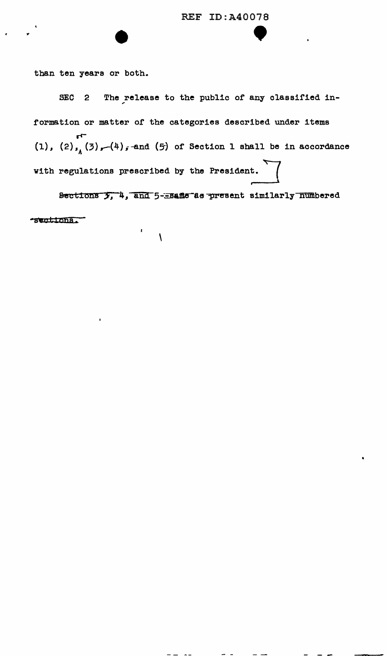than ten years or both.

...

SEC 2 The release to the public of any classified information or matter of the categories described under items rr-  $(1)$ ,  $(2)$ ,  $(3)$ ,  $(4)$ , and  $(5)$  of Section 1 shall be in accordance with regulations prescribed by the President.  $\overline{\phantom{a}}$ 

Sections  $\overline{y}$ , 4, and 5-=same as present similarly numbered **•S\W:L:Lbhs.\_** 

 $\sim$   $\sim$ 

 $\sim$   $-$ 

\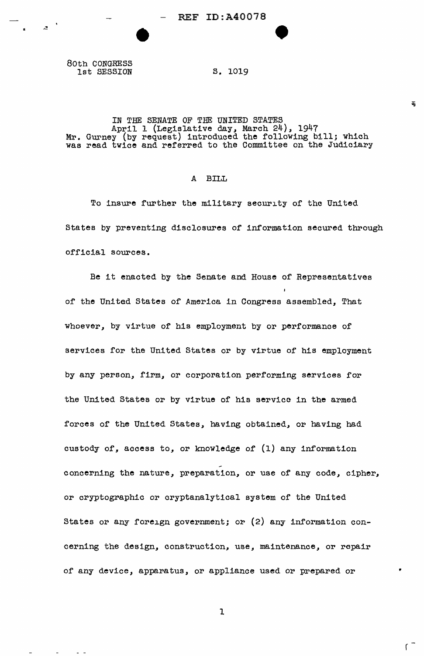80th CONGRESS 1st SESSION

 $\sigma_{\rm{max}}=0.00000$ 

 $\overline{z}$   $\overline{z}$ 

• 1

s. 1019

•

# IN THE SENATE OF THE UNITED STATES April 1 (Legislative day, March 24), 1947 Mr. Gurney (by request) introduced the following bill; which was read twice and referred to the Committee on the Judiciary

# A BILL

To insure further the military security of the United States by preventing disclosures of information secured through official sources.

Be it enacted by the Senate and House of Representatives of the United States of America in Congress assembled, That whoever, by virtue of his employment by or performance of services for the United States or by virtue of his employment by any person, firm, or corporation performing services for the United States or by virtue of his service in the armed forces of the United States, having obtained, or having had custody of, access to, or knowledge of (1) any information concerning the nature, preparation, or use of any code, cipher, or cryptographic or cryptanalytical system of the United States or any foreign government; or (2) any information concerning the design, construction, use, maintenance, or repair of any device, apparatus, or appliance used or prepared or

1

•

 $\equiv$ 

 $\mathfrak{c}$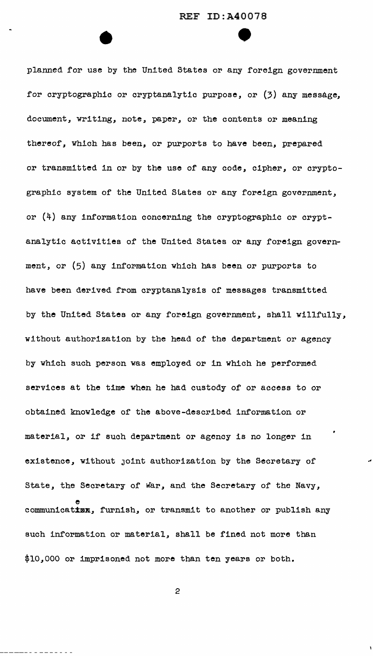planned for use by the United States or any foreign government for cryptographic or cryptanalytic purpose, or (3) any message, document, writing, note, paper, or the contents or meaning thereof, which has been, or purports to have been, prepared or transmitted in or by the use of any code, cipher, or cryptographic system of the United States or any foreign government, or  $(4)$  any information concerning the cryptographic or cryptanalytic activities of the United States or any foreign government, or (5) any information which has been or purports to have been derived from cryptanalysis of messages transmitted by the United States or any foreign government, shall willfully, without authorization by the head of the department or agency by which such person was employed or in which he performed services at the time when he had custody of or access to or obtained knowledge of the above-described information or material, or if such department or agency is no longer in existence, without Joint authorization by the Secretary of State, the Secretary of War, and the Secretary of the Navy, e communication, furnish, or transmit to another or publish any such information or material, shall be fined not more than \$10,000 or imprisoned not more than ten years or both.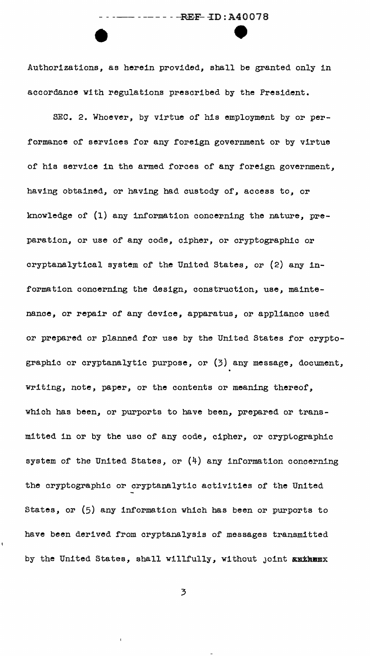### $------REF-1D: A40078$

•<br>• Authorizations, as herein provided, shall be granted only in accordance with regulations prescribed by the President.

SEC. 2. Whoever, by virtue of his employment by or per<sup>f</sup>ormance of services for any foreign government or by virtue of his service in the armed forces of any foreign government, havins obtained, or having had custody of, access to, or knowledge of (1) any information concerning the nature, preparation, or use of any code, cipher, or cryptographic or cryptanalyt1cal system of the United States, or (2) any information concerning the design, construction, use, maintenance, or repair of any device, apparatus, or appliance used or prepared or planned for use by the United States for cryptographic or cryptanalytic purpose, or (3) any message, document, writing, note, paper, or the contents or meaning thereof, which has been, or purports to have been, prepared or transmitted in or by the use of any code, cipher, or cryptographic system of the United States, or  $(4)$  any information concerning the cryptographic or cryptanalytic activities of the United States, or (5) any information which has been or purports to have been derived from cryptanalysis of messages transmitted by the United States, shall willfully, without joint authemx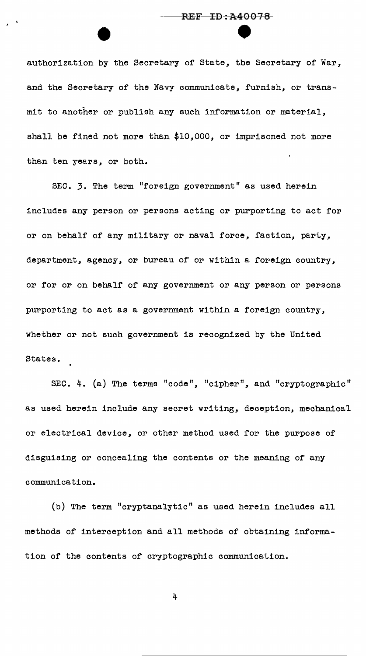# ----------RE-F---TB-:\*4-0-0-1-8- **REF ID:A40078**

authorization by the Secretary of State, the Secretary of War, and the Secretary of the Navy communicate, furnish, or transmit to another or publish any such information or material, shall be fined not more than \$10,000, or imprisoned not more than ten years, or both.

SEC. 3. The term "foreign government" as used herein includes any person or persons acting or purporting to act for or on behalf of any military or naval force, faction, party, department, agency, or bureau of or within a foreign country, or for or on behalf of any government or any person or persons purporting to act as a government within a foreign country, whether or not such government is recognized by the United States.

SEC. 4. (a) The terms "code", "cipher", and "cryptographic" as used herein include any secret writing, deception, mechanical or electrical device, or other method used for the purpose of disguisine or concealing the contents or the meaning of any communication.

(b) The term "cryptanalytic" as used herein includes all methods of interception and all methods of obtaining information of the contents of cryptographic communication.